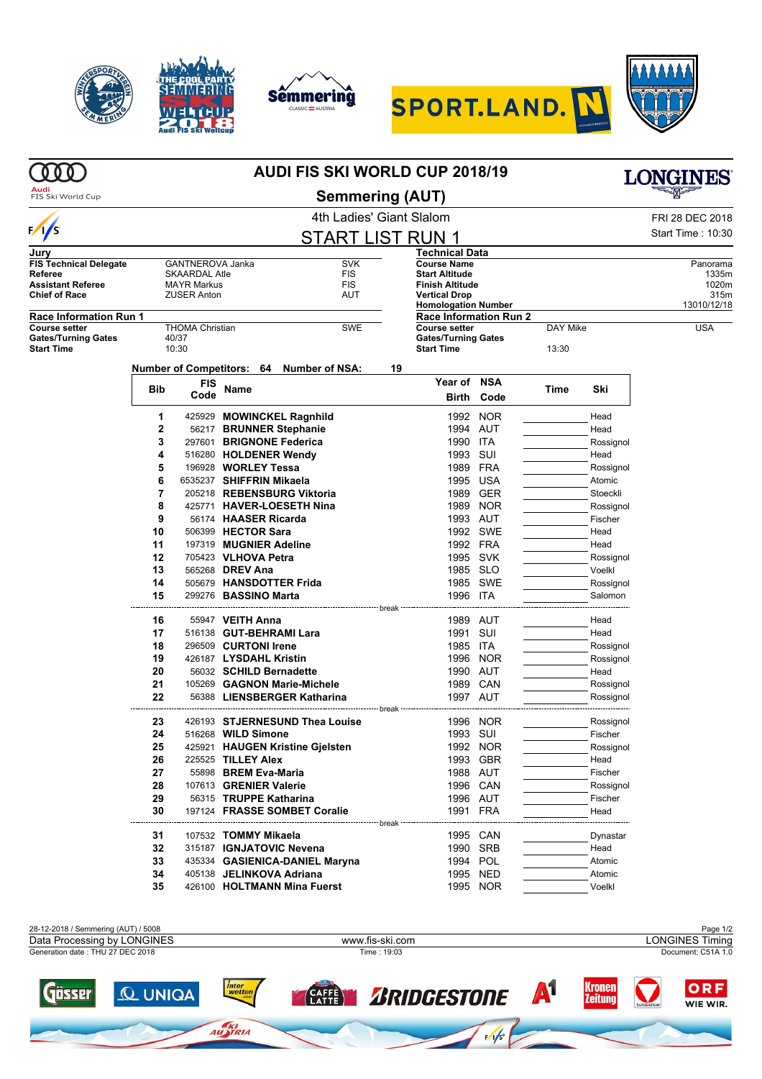









|                                                                         | <b>AUDI FIS SKI WORLD CUP 2018/19</b> |                                          |                                                     |                                          |                                                                         |            |                   | <b>LONGINES</b>   |                   |  |
|-------------------------------------------------------------------------|---------------------------------------|------------------------------------------|-----------------------------------------------------|------------------------------------------|-------------------------------------------------------------------------|------------|-------------------|-------------------|-------------------|--|
| Audi<br>FIS Ski World Cup                                               | <b>Semmering (AUT)</b>                |                                          |                                                     |                                          |                                                                         |            |                   |                   |                   |  |
|                                                                         |                                       |                                          |                                                     | 4th Ladies' Giant Slalom                 |                                                                         |            |                   |                   | FRI 28 DEC 2018   |  |
| $\frac{1}{s}$                                                           |                                       |                                          |                                                     | <b>START LIST RUN 1</b>                  |                                                                         |            |                   |                   | Start Time: 10:30 |  |
| Jury                                                                    |                                       |                                          |                                                     |                                          | Technical Data                                                          |            |                   |                   |                   |  |
| <b>FIS Technical Delegate</b>                                           |                                       | GANTNEROVA Janka                         |                                                     | <b>SVK</b>                               | <b>Course Name</b>                                                      |            |                   |                   | Panorama          |  |
| Referee                                                                 |                                       | <b>SKAARDAL Atle</b>                     |                                                     | <b>FIS</b>                               | <b>Start Altitude</b>                                                   |            |                   |                   | 1335m             |  |
| <b>Assistant Referee</b><br><b>Chief of Race</b>                        |                                       | <b>MAYR Markus</b><br><b>ZUSER Anton</b> |                                                     | <b>FIS</b><br>AUT                        | <b>Finish Altitude</b><br><b>Vertical Drop</b>                          |            |                   |                   | 1020m<br>315m     |  |
|                                                                         |                                       |                                          |                                                     |                                          | <b>Homologation Number</b>                                              |            |                   |                   | 13010/12/18       |  |
| <b>Race Information Run 1</b>                                           |                                       |                                          |                                                     |                                          | <b>Race Information Run 2</b>                                           |            |                   |                   |                   |  |
| <b>Course setter</b><br><b>Gates/Turning Gates</b><br><b>Start Time</b> |                                       | <b>THOMA Christian</b><br>40/37<br>10:30 |                                                     | <b>SWE</b>                               | <b>Course setter</b><br><b>Gates/Turning Gates</b><br><b>Start Time</b> |            | DAY Mike<br>13:30 |                   | <b>USA</b>        |  |
|                                                                         |                                       |                                          |                                                     | Number of Competitors: 64 Number of NSA: | 19                                                                      |            |                   |                   |                   |  |
|                                                                         |                                       | <b>FIS</b>                               |                                                     |                                          | Year of NSA                                                             |            |                   |                   |                   |  |
|                                                                         | <b>Bib</b>                            | Code                                     | Name                                                |                                          | Birth                                                                   | Code       | Time              | Ski               |                   |  |
|                                                                         |                                       |                                          |                                                     |                                          |                                                                         |            |                   |                   |                   |  |
|                                                                         | 1                                     |                                          | 425929 MOWINCKEL Ragnhild                           |                                          |                                                                         | 1992 NOR   |                   | Head              |                   |  |
|                                                                         | 2<br>3                                |                                          | 56217 BRUNNER Stephanie<br>297601 BRIGNONE Federica |                                          | 1994 AUT<br>1990 ITA                                                    |            |                   | Head<br>Rossignol |                   |  |
|                                                                         | 4                                     |                                          | 516280 HOLDENER Wendy                               |                                          | 1993                                                                    | SUI        |                   | Head              |                   |  |
|                                                                         | 5                                     |                                          | 196928 WORLEY Tessa                                 |                                          |                                                                         | 1989 FRA   |                   | Rossignol         |                   |  |
|                                                                         | 6                                     |                                          | 6535237 SHIFFRIN Mikaela                            |                                          |                                                                         | 1995 USA   |                   | Atomic            |                   |  |
|                                                                         | 7                                     |                                          | 205218 REBENSBURG Viktoria                          |                                          |                                                                         | 1989 GER   |                   | Stoeckli          |                   |  |
|                                                                         | 8                                     |                                          | 425771 HAVER-LOESETH Nina                           |                                          |                                                                         | 1989 NOR   |                   | Rossignol         |                   |  |
|                                                                         | 9                                     |                                          | 56174 HAASER Ricarda                                |                                          |                                                                         | 1993 AUT   |                   | Fischer           |                   |  |
|                                                                         | 10                                    |                                          | 506399 HECTOR Sara                                  |                                          |                                                                         | 1992 SWE   |                   | Head              |                   |  |
|                                                                         | 11                                    |                                          | 197319 MUGNIER Adeline                              |                                          |                                                                         | 1992 FRA   |                   | Head              |                   |  |
|                                                                         | 12                                    |                                          | 705423 VLHOVA Petra                                 |                                          |                                                                         | 1995 SVK   |                   | Rossignol         |                   |  |
|                                                                         | 13                                    |                                          | 565268 <b>DREV Ana</b>                              |                                          | 1985 SLO                                                                |            |                   | Voelkl            |                   |  |
|                                                                         | 14                                    |                                          | 505679 HANSDOTTER Frida                             |                                          |                                                                         | 1985 SWE   |                   | Rossignol         |                   |  |
|                                                                         | 15                                    |                                          | 299276 BASSINO Marta                                |                                          | 1996 ITA                                                                |            |                   | Salomon           |                   |  |
|                                                                         | 16                                    |                                          | 55947 VEITH Anna                                    |                                          | 1989 AUT                                                                |            |                   | Head              |                   |  |
|                                                                         | 17                                    |                                          | 516138 GUT-BEHRAMI Lara                             |                                          | 1991                                                                    | SUI        |                   | Head              |                   |  |
|                                                                         | 18                                    |                                          | 296509 CURTONI Irene                                |                                          | 1985 ITA                                                                |            |                   | Rossignol         |                   |  |
|                                                                         | 19                                    |                                          | 426187 LYSDAHL Kristin                              |                                          | 1996                                                                    | <b>NOR</b> |                   | Rossignol         |                   |  |
|                                                                         | 20                                    |                                          | 56032 SCHILD Bernadette                             |                                          | 1990 AUT                                                                |            |                   | Head              |                   |  |
|                                                                         | 21                                    |                                          | 105269 GAGNON Marie-Michele                         |                                          |                                                                         | 1989 CAN   |                   | Rossignol         |                   |  |
|                                                                         | 22                                    |                                          |                                                     | 56388 LIENSBERGER Katharina              | 1997 AUT                                                                |            |                   | Rossignol         |                   |  |
|                                                                         | 23                                    |                                          |                                                     | 426193 STJERNESUND Thea Louise           |                                                                         | 1996 NOR   |                   | Rossignol         |                   |  |
|                                                                         | 24                                    |                                          | 516268 WILD Simone                                  |                                          | 1993 SUI                                                                |            |                   | Fischer           |                   |  |
|                                                                         | 25                                    |                                          |                                                     | 425921 HAUGEN Kristine Gjelsten          |                                                                         | 1992 NOR   |                   | Rossignol         |                   |  |
|                                                                         | 26                                    |                                          | 225525 TILLEY Alex                                  |                                          |                                                                         | 1993 GBR   |                   | Head              |                   |  |
|                                                                         | 27                                    |                                          | 55898 BREM Eva-Maria                                |                                          |                                                                         | 1988 AUT   |                   | Fischer           |                   |  |
|                                                                         | 28                                    |                                          | 107613 GRENIER Valerie                              |                                          |                                                                         | 1996 CAN   |                   | Rossignol         |                   |  |
|                                                                         | 29                                    |                                          | 56315 TRUPPE Katharina                              |                                          |                                                                         | 1996 AUT   |                   | Fischer           |                   |  |
|                                                                         | 30                                    |                                          |                                                     | 197124 FRASSE SOMBET Coralie             | 1991 FRA<br>.                                                           |            |                   | Head              |                   |  |
|                                                                         | 31                                    |                                          | 107532 TOMMY Mikaela                                |                                          | 1995 CAN                                                                |            |                   | Dynastar          |                   |  |
|                                                                         | 32                                    |                                          | 315187 IGNJATOVIC Nevena                            |                                          |                                                                         | 1990 SRB   |                   | Head              |                   |  |
|                                                                         | 33                                    |                                          |                                                     | 435334 GASIENICA-DANIEL Maryna           | 1994 POL                                                                |            |                   | Atomic            |                   |  |
|                                                                         | 34                                    |                                          | 405138 JELINKOVA Adriana                            |                                          |                                                                         | 1995 NED   |                   | Atomic            |                   |  |
|                                                                         | 35                                    |                                          |                                                     | 426100 HOLTMANN Mina Fuerst              |                                                                         | 1995 NOR   |                   | Voelkl            |                   |  |